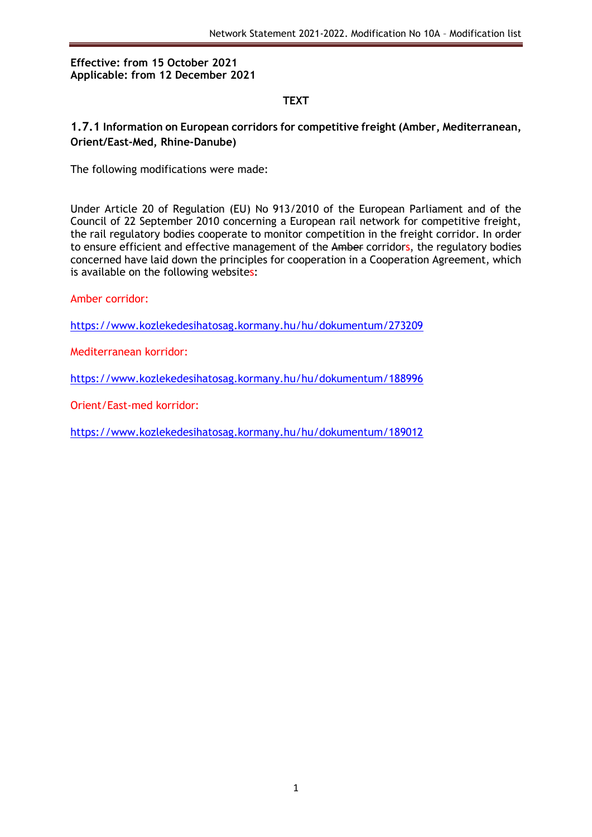### **Effective: from 15 October 2021 Applicable: from 12 December 2021**

## **TEXT**

### **1.7.1 Information on European corridors for competitive freight (Amber, Mediterranean, Orient/East-Med, Rhine-Danube)**

The following modifications were made:

Under Article 20 of Regulation (EU) No 913/2010 of the European Parliament and of the Council of 22 September 2010 concerning a European rail network for competitive freight, the rail regulatory bodies cooperate to monitor competition in the freight corridor. In order to ensure efficient and effective management of the Amber corridors, the regulatory bodies concerned have laid down the principles for cooperation in a Cooperation Agreement, which is available on the following websites:

Amber corridor:

<https://www.kozlekedesihatosag.kormany.hu/hu/dokumentum/273209>

Mediterranean korridor:

<https://www.kozlekedesihatosag.kormany.hu/hu/dokumentum/188996>

Orient/East-med korridor:

<https://www.kozlekedesihatosag.kormany.hu/hu/dokumentum/189012>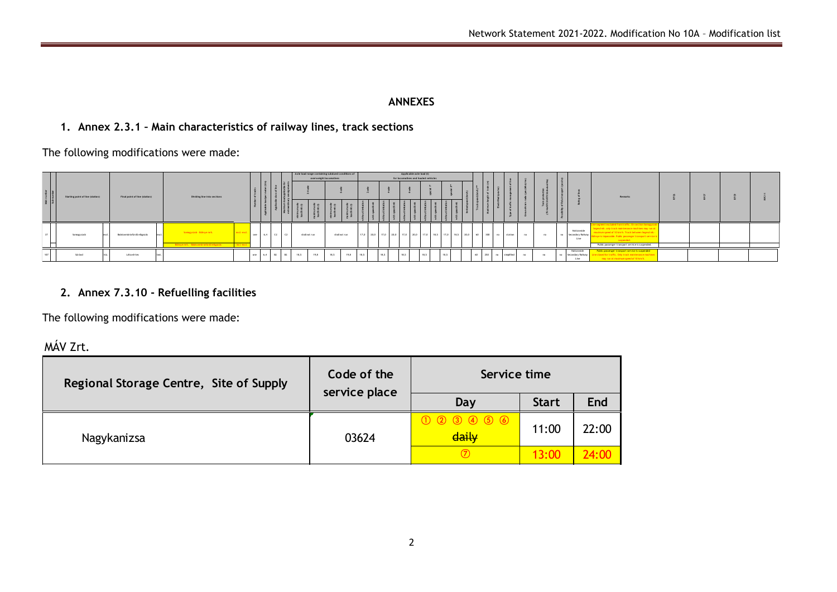#### **ANNEXES**

# **1. Annex 2.3.1 – Main characteristics of railway lines, track sections**

The following modifications were made:

| Máin number<br>Sub-number | Starting point of line (station) | Final point of line (station) | Dividing line into sections                                                       |                           |     |                |       | Axle load range containing subdued conditions of | overweight locomotives |               |      |      | Applicable axle load (t)<br>for locomotives and hauled vehicles          |      |      |    |     |     |            |     |    |      |                                         | <b>Remarks</b>                                                                                                                                                                                                                                                                   |  |  |
|---------------------------|----------------------------------|-------------------------------|-----------------------------------------------------------------------------------|---------------------------|-----|----------------|-------|--------------------------------------------------|------------------------|---------------|------|------|--------------------------------------------------------------------------|------|------|----|-----|-----|------------|-----|----|------|-----------------------------------------|----------------------------------------------------------------------------------------------------------------------------------------------------------------------------------------------------------------------------------------------------------------------------------|--|--|
|                           | iomoevszob                       | Balatonmáriafürdő elásazás    | Sompayszob - Böhnye mrh.<br>Böhnye mrh. - Balatonmáriafürdő elágazás              | excl.-excl.<br>incl. Love | one | $6.4$ $2$ $2$  |       | shall not run                                    |                        | shall not run |      |      | 17,0 20,0 17,0 20,0 17,0 20,0 17,0 18,5 17,0 18,5 20,0 60 300 no station |      |      |    |     |     |            | no. | no | -no- | Nationwide<br>Secondary Railway<br>Line | Geement excluded from traffic. On section Somo<br>reesd mh, only track maintenance machines may run<br>naximum speed of 10 km/h. Track between Seeesd m<br>iye is impassable. Public passenger transport servi<br>suspended.<br>Public passenger transport service is suspended. |  |  |
|                           | Sáránd                           | Létavértes                    |                                                                                   |                           | one | $1 - 6, 4 - 1$ | 62 62 | 19,8<br>18,5                                     | 18,5                   | 19,8          | 18,5 | 18.5 | 18.5                                                                     | 18.5 | 18,5 | 60 | 250 | no. | simplified | no  | no | no   | Nationwide<br>Secondary Railway<br>Line | Public passenger transport service is suspended<br>he closed for traffic. Only track maintenance machin<br>may run at maximum speed of 10 km/h.                                                                                                                                  |  |  |
|                           |                                  |                               | 2. Annex 7.3.10 - Refuelling facilities<br>The following modifications were made: |                           |     |                |       |                                                  |                        |               |      |      |                                                                          |      |      |    |     |     |            |     |    |      |                                         |                                                                                                                                                                                                                                                                                  |  |  |

# **2. Annex 7.3.10 - Refuelling facilities**

MÁV Zrt.

| Regional Storage Centre, Site of Supply | Code of the<br>service place | Service time                              |              |            |  |  |  |  |
|-----------------------------------------|------------------------------|-------------------------------------------|--------------|------------|--|--|--|--|
|                                         |                              | Day                                       | <b>Start</b> | <b>End</b> |  |  |  |  |
| Nagykanizsa                             | 03624                        | $(1)$ (2) (3) (4) (5) (6)<br><b>daily</b> | 11:00        | 22:00      |  |  |  |  |
|                                         |                              | $\circled{7}$                             |              |            |  |  |  |  |